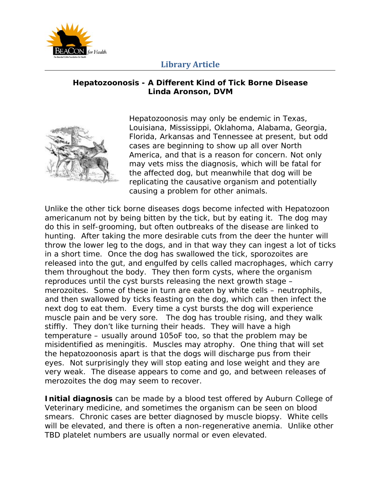

## **Library Article**

## **Hepatozoonosis - A Different Kind of Tick Borne Disease Linda Aronson, DVM**



Hepatozoonosis may only be endemic in Texas, Louisiana, Mississippi, Oklahoma, Alabama, Georgia, Florida, Arkansas and Tennessee at present, but odd cases are beginning to show up all over North America, and that is a reason for concern. Not only may vets miss the diagnosis, which will be fatal for the affected dog, but meanwhile that dog will be replicating the causative organism and potentially causing a problem for other animals.

Unlike the other tick borne diseases dogs become infected with Hepatozoon americanum not by being bitten by the tick, but by eating it. The dog may do this in self-grooming, but often outbreaks of the disease are linked to hunting. After taking the more desirable cuts from the deer the hunter will throw the lower leg to the dogs, and in that way they can ingest a lot of ticks in a short time. Once the dog has swallowed the tick, sporozoites are released into the gut, and engulfed by cells called macrophages, which carry them throughout the body. They then form cysts, where the organism reproduces until the cyst bursts releasing the next growth stage – merozoites. Some of these in turn are eaten by white cells – neutrophils, and then swallowed by ticks feasting on the dog, which can then infect the next dog to eat them. Every time a cyst bursts the dog will experience muscle pain and be very sore. The dog has trouble rising, and they walk stiffly. They don't like turning their heads. They will have a high temperature – usually around 105oF too, so that the problem may be misidentified as meningitis. Muscles may atrophy. One thing that will set the hepatozoonosis apart is that the dogs will discharge pus from their eyes. Not surprisingly they will stop eating and lose weight and they are very weak. The disease appears to come and go, and between releases of merozoites the dog may seem to recover.

**Initial diagnosis** can be made by a blood test offered by Auburn College of Veterinary medicine, and sometimes the organism can be seen on blood smears. Chronic cases are better diagnosed by muscle biopsy. White cells will be elevated, and there is often a non-regenerative anemia. Unlike other TBD platelet numbers are usually normal or even elevated.